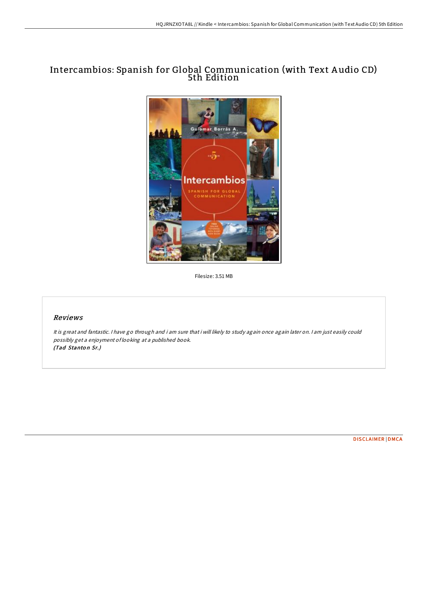# Intercambios: Spanish for Global Communication (with Text A udio CD) 5th Edition



Filesize: 3.51 MB

# Reviews

It is great and fantastic. <sup>I</sup> have go through and i am sure that i will likely to study again once again later on. <sup>I</sup> am just easily could possibly get <sup>a</sup> enjoyment of looking at <sup>a</sup> published book. (Tad Stanton Sr.)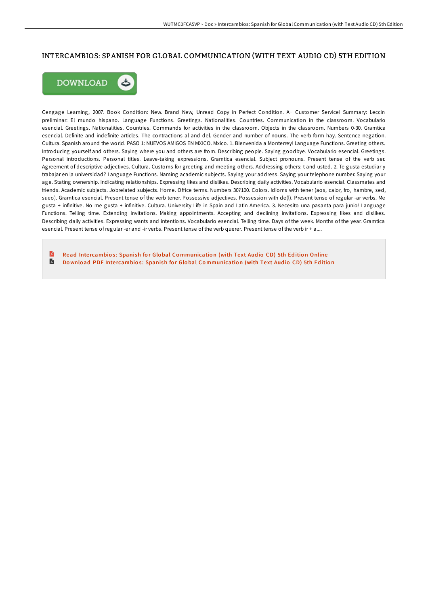## INTERCAMBIOS: SPANISH FOR GLOBAL COMMUNICATION (WITH TEXT AUDIO CD) 5TH EDITION



Cengage Learning, 2007. Book Condition: New. Brand New, Unread Copy in Perfect Condition. A+ Customer Service! Summary: Leccin preliminar: El mundo hispano. Language Functions. Greetings. Nationalities. Countries. Communication in the classroom. Vocabulario esencial. Greetings. Nationalities. Countries. Commands for activities in the classroom. Objects in the classroom. Numbers 0-30. Gramtica esencial. Definite and indefinite articles. The contractions al and del. Gender and number of nouns. The verb form hay. Sentence negation. Cultura. Spanish around the world. PASO 1: NUEVOS AMIGOS EN MXICO. Mxico. 1. Bienvenida a Monterrey! Language Functions. Greeting others. Introducing yourself and others. Saying where you and others are from. Describing people. Saying goodbye. Vocabulario esencial. Greetings. Personal introductions. Personal titles. Leave-taking expressions. Gramtica esencial. Subject pronouns. Present tense of the verb ser. Agreement of descriptive adjectives. Cultura. Customs for greeting and meeting others. Addressing others: t and usted. 2. Te gusta estudiar y trabajar en la universidad? Language Functions. Naming academic subjects. Saying your address. Saying your telephone number. Saying your age. Stating ownership. Indicating relationships. Expressing likes and dislikes. Describing daily activities. Vocabulario esencial. Classmates and friends. Academic subjects. Jobrelated subjects. Home. Office terms. Numbers 30?100. Colors. Idioms with tener (aos, calor, fro, hambre, sed, sueo). Gramtica esencial. Present tense of the verb tener. Possessive adjectives. Possession with de(l). Present tense of regular -ar verbs. Me gusta + infinitive. No me gusta + infinitive. Cultura. University Life in Spain and Latin America. 3. Necesito una pasanta para junio! Language Functions. Telling time. Extending invitations. Making appointments. Accepting and declining invitations. Expressing likes and dislikes. Describing daily activities. Expressing wants and intentions. Vocabulario esencial. Telling time. Days of the week. Months of the year. Gramtica esencial. Present tense of regular -er and -ir verbs. Present tense of the verb querer. Present tense of the verb ir + a....

Read Intercambios: Spanish for Global Co[mmunicatio](http://almighty24.tech/intercambios-spanish-for-global-communication-wi.html)n (with Text Audio CD) 5th Edition Online E Download PDF Intercambios: Spanish for Global Co[mmunicatio](http://almighty24.tech/intercambios-spanish-for-global-communication-wi.html)n (with Text Audio CD) 5th Edition